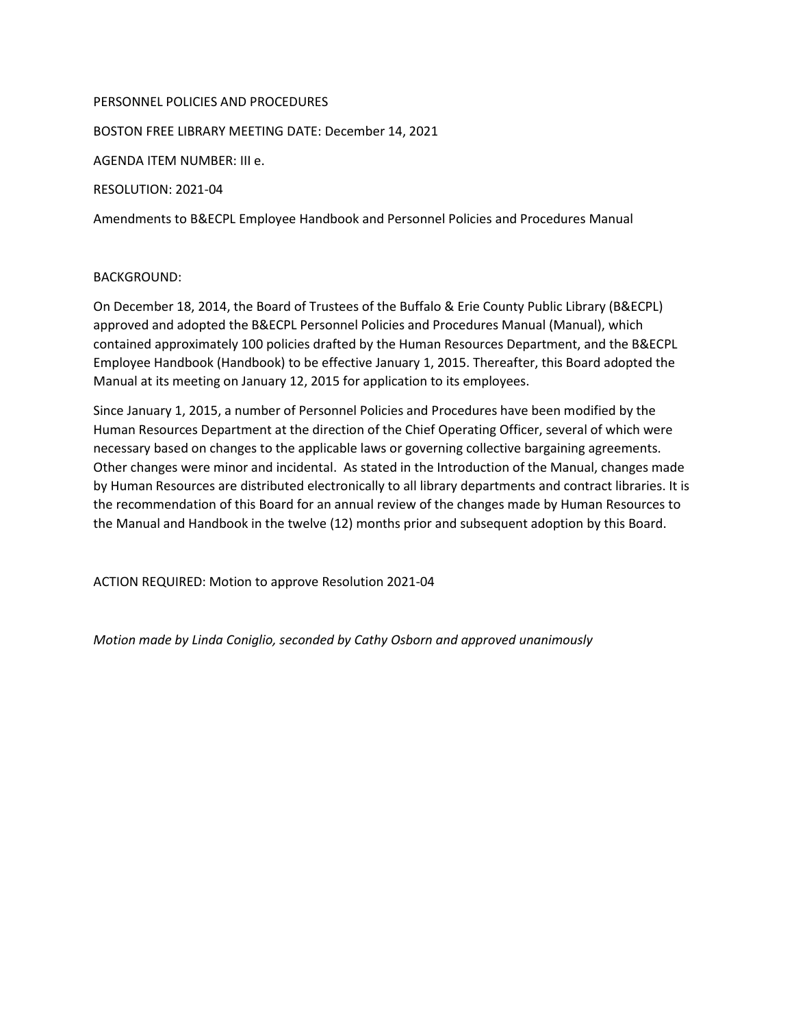## PERSONNEL POLICIES AND PROCEDURES

BOSTON FREE LIBRARY MEETING DATE: December 14, 2021

AGENDA ITEM NUMBER: III e.

RESOLUTION: 2021-04

Amendments to B&ECPL Employee Handbook and Personnel Policies and Procedures Manual

## BACKGROUND:

On December 18, 2014, the Board of Trustees of the Buffalo & Erie County Public Library (B&ECPL) approved and adopted the B&ECPL Personnel Policies and Procedures Manual (Manual), which contained approximately 100 policies drafted by the Human Resources Department, and the B&ECPL Employee Handbook (Handbook) to be effective January 1, 2015. Thereafter, this Board adopted the Manual at its meeting on January 12, 2015 for application to its employees.

Since January 1, 2015, a number of Personnel Policies and Procedures have been modified by the Human Resources Department at the direction of the Chief Operating Officer, several of which were necessary based on changes to the applicable laws or governing collective bargaining agreements. Other changes were minor and incidental. As stated in the Introduction of the Manual, changes made by Human Resources are distributed electronically to all library departments and contract libraries. It is the recommendation of this Board for an annual review of the changes made by Human Resources to the Manual and Handbook in the twelve (12) months prior and subsequent adoption by this Board.

ACTION REQUIRED: Motion to approve Resolution 2021-04

*Motion made by Linda Coniglio, seconded by Cathy Osborn and approved unanimously*